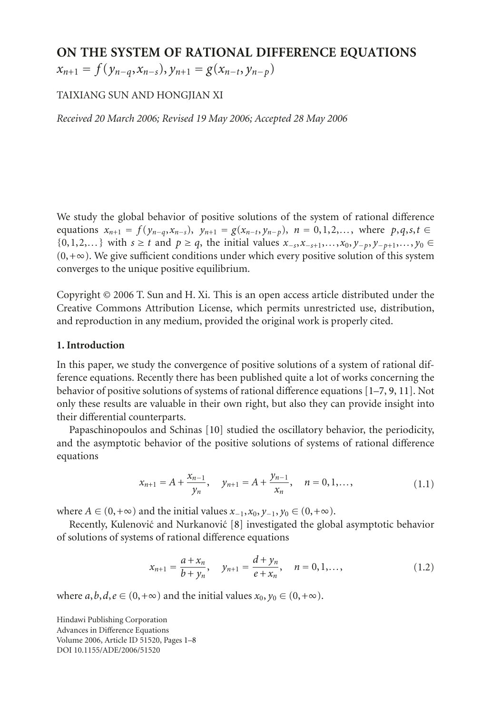# **ON THE SYSTEM OF RATIONAL DIFFERENCE EQUATIONS**

 $x_{n+1} = f(y_{n-q}, x_{n-s}), y_{n+1} = g(x_{n-t}, y_{n-p})$ 

# TAIXIANG SUN AND HONGJIAN XI

*Received 20 March 2006; Revised 19 May 2006; Accepted 28 May 2006*

We study the global behavior of positive solutions of the system of rational difference equations  $x_{n+1} = f(y_{n-q}, x_{n-s}), y_{n+1} = g(x_{n-t}, y_{n-p}), n = 0, 1, 2, \ldots$ , where  $p, q, s, t \in$ {0,1,2,...} with *s* ≥ *t* and *p* ≥ *q*, the initial values *x*<sub>−*s*</sub>,*x*<sub>−*s*+1</sub>,...,*x*<sub>0</sub>, *y*<sub>−*p*</sub>, *y*<sub>−*p*+1</sub>,..., *y*<sub>0</sub> ∈  $(0,+\infty)$ . We give sufficient conditions under which every positive solution of this system converges to the unique positive equilibrium.

Copyright © 2006 T. Sun and H. Xi. This is an open access article distributed under the Creative Commons Attribution License, which permits unrestricted use, distribution, and reproduction in any medium, provided the original work is properly cited.

### **1. Introduction**

In this paper, we study the convergence of positive solutions of a system of rational difference equations. Recently there has been published quite a lot of works concerning the behavior of positive solutions of systems of rational difference equations [\[1](#page-6-0)[–7](#page-6-1), [9,](#page-7-0) [11\]](#page-7-1). Not only these results are valuable in their own right, but also they can provide insight into their differential counterparts.

Papaschinopoulos and Schinas [\[10](#page-7-2)] studied the oscillatory behavior, the periodicity, and the asymptotic behavior of the positive solutions of systems of rational difference equations

$$
x_{n+1} = A + \frac{x_{n-1}}{y_n}, \quad y_{n+1} = A + \frac{y_{n-1}}{x_n}, \quad n = 0, 1, \dots,
$$
 (1.1)

where *A* ∈ (0, +∞) and the initial values  $x_{-1}$ ,  $x_0$ ,  $y_{-1}$ ,  $y_0$  ∈ (0, +∞).

Recently, Kulenović and Nurkanović [[8](#page-6-2)] investigated the global asymptotic behavior of solutions of systems of rational difference equations

$$
x_{n+1} = \frac{a + x_n}{b + y_n}, \quad y_{n+1} = \frac{d + y_n}{e + x_n}, \quad n = 0, 1, \dots,
$$
 (1.2)

where  $a, b, d, e \in (0, +\infty)$  and the initial values  $x_0, y_0 \in (0, +\infty)$ .

Hindawi Publishing Corporation Advances in Difference Equations Volume 2006, Article ID 51520, Pages 1[–8](#page-6-3) DOI 10.1155/ADE/2006/51520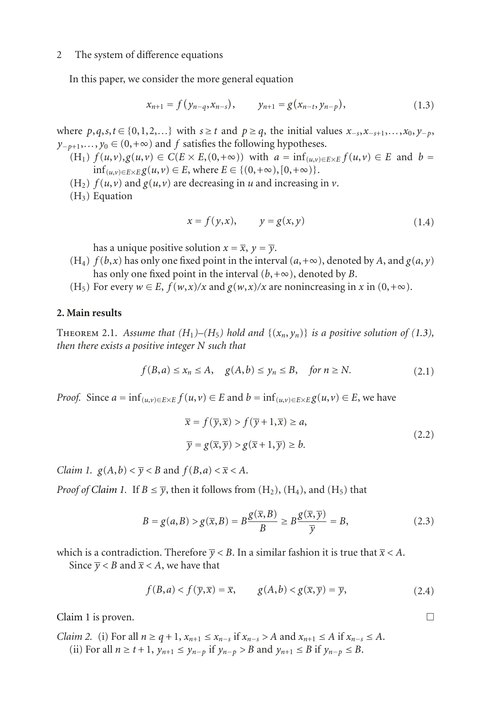#### 2 The system of difference equations

In this paper, we consider the more general equation

<span id="page-1-0"></span>
$$
x_{n+1} = f(y_{n-q}, x_{n-s}), \qquad y_{n+1} = g(x_{n-t}, y_{n-p}), \qquad (1.3)
$$

where  $p, q, s, t \in \{0, 1, 2, \ldots\}$  with  $s \geq t$  and  $p \geq q$ , the initial values  $x_{-s}, x_{-s+1}, \ldots, x_0, y_{-p}$ ,  $y_{-p+1},..., y_0 \in (0, +\infty)$  and *f* satisfies the following hypotheses.

- $F(H_1)$   $f(u,v), g(u,v) \in C(E \times E, (0,+\infty))$  with  $a = \inf_{(u,v) \in E \times E} f(u,v) \in E$  and  $b =$  $\inf_{(u,v) \in E \times E} g(u,v) \in E$ , where  $E \in \{(0,+\infty), [0,+\infty)\}.$
- (H<sub>2</sub>)  $f(u, v)$  and  $g(u, v)$  are decreasing in *u* and increasing in *v*.
- $(H<sub>3</sub>)$  Equation

$$
x = f(y, x), \qquad y = g(x, y) \tag{1.4}
$$

has a unique positive solution  $x = \overline{x}$ ,  $y = \overline{y}$ .

- $(H_4)$  *f* (*b*,*x*) has only one fixed point in the interval  $(a, +\infty)$ , denoted by *A*, and  $g(a, y)$ has only one fixed point in the interval  $(b, +\infty)$ , denoted by *B*.
- (H<sub>5</sub>) For every  $w \in E$ ,  $f(w,x)/x$  and  $g(w,x)/x$  are nonincreasing in *x* in  $(0,+\infty)$ .

## <span id="page-1-3"></span>**2. Main results**

THEOREM 2.1. Assume that  $(H_1)$ – $(H_5)$  hold and  $\{(x_n, y_n)\}$  is a positive solution of [\(1.3\)](#page-1-0), *then there exists a positive integer N such that*

$$
f(B, a) \le x_n \le A, \quad g(A, b) \le y_n \le B, \quad \text{for } n \ge N. \tag{2.1}
$$

*Proof.* Since  $a = \inf_{(u,v) \in E \times E} f(u,v) \in E$  and  $b = \inf_{(u,v) \in E \times E} g(u,v) \in E$ , we have

$$
\overline{x} = f(\overline{y}, \overline{x}) > f(\overline{y} + 1, \overline{x}) \ge a,
$$
  

$$
\overline{y} = g(\overline{x}, \overline{y}) > g(\overline{x} + 1, \overline{y}) \ge b.
$$
 (2.2)

<span id="page-1-1"></span>*Claim 1.*  $g(A,b) < \overline{y} < B$  and  $f(B,a) < \overline{x} < A$ .

*Proof of [Claim 1.](#page-1-1)* If  $B \leq \overline{\gamma}$ , then it follows from  $(H_2)$ ,  $(H_4)$ , and  $(H_5)$  that

$$
B = g(a, B) > g(\overline{x}, B) = B \frac{g(\overline{x}, B)}{B} \ge B \frac{g(\overline{x}, \overline{y})}{\overline{y}} = B,
$$
\n(2.3)

which is a contradiction. Therefore  $\overline{y}$  < B. In a similar fashion it is true that  $\overline{x}$  < A.

Since  $\overline{y}$  < *B* and  $\overline{x}$  < *A*, we have that

$$
f(B, a) < f(\overline{y}, \overline{x}) = \overline{x}, \qquad g(A, b) < g(\overline{x}, \overline{y}) = \overline{y}, \tag{2.4}
$$

<span id="page-1-2"></span>[Claim 1](#page-1-1) is proven.  $\Box$ 

*Claim 2.* (i) For all  $n \ge q + 1$ ,  $x_{n+1} \le x_{n-s}$  if  $x_{n-s} > A$  and  $x_{n+1} \le A$  if  $x_{n-s} \le A$ . (ii) For all  $n \ge t + 1$ ,  $y_{n+1} \le y_{n-p}$  if  $y_{n-p} > B$  and  $y_{n+1} \le B$  if  $y_{n-p} \le B$ .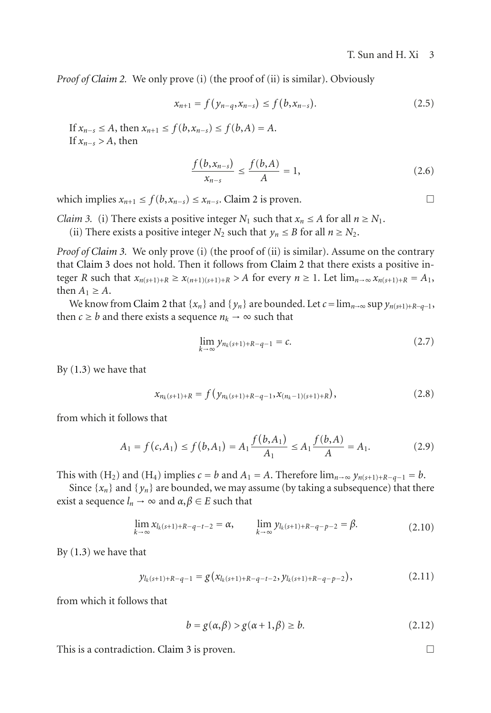*Proof of [Claim 2.](#page-1-2)* We only prove (i) (the proof of (ii) is similar). Obviously

$$
x_{n+1} = f(y_{n-q}, x_{n-s}) \le f(b, x_{n-s}). \tag{2.5}
$$

If  $x_{n-s}$  ≤ *A*, then  $x_{n+1}$  ≤  $f(b,x_{n-s})$  ≤  $f(b,A) = A$ . If *xn*−*<sup>s</sup> > A*, then

$$
\frac{f(b,x_{n-s})}{x_{n-s}} \le \frac{f(b,A)}{A} = 1,
$$
\n(2.6)

<span id="page-2-0"></span>which implies  $x_{n+1}$  ≤  $f(b, x_{n-s})$  ≤  $x_{n-s}$ . [Claim 2](#page-1-2) is proven.  $\Box$ 

*Claim 3.* (i) There exists a positive integer  $N_1$  such that  $x_n \leq A$  for all  $n \geq N_1$ .

(ii) There exists a positive integer  $N_2$  such that  $y_n \le B$  for all  $n \ge N_2$ .

*Proof of [Claim 3.](#page-2-0)* We only prove (i) (the proof of (ii) is similar). Assume on the contrary that [Claim 3](#page-2-0) does not hold. Then it follows from [Claim 2](#page-1-2) that there exists a positive integer *R* such that  $x_{n(s+1)+R} \ge x_{(n+1)(s+1)+R} > A$  for every  $n \ge 1$ . Let  $\lim_{n \to \infty} x_{n(s+1)+R} = A_1$ , then  $A_1 \geq A$ .

We know from [Claim 2](#page-1-2) that  $\{x_n\}$  and  $\{y_n\}$  are bounded. Let  $c = \lim_{n \to \infty} \sup y_{n(s+1)+R-q-1}$ , then  $c \ge b$  and there exists a sequence  $n_k \to \infty$  such that

$$
\lim_{k \to \infty} y_{n_k(s+1)+R-q-1} = c. \tag{2.7}
$$

By [\(1.3\)](#page-1-0) we have that

$$
x_{n_k(s+1)+R} = f(y_{n_k(s+1)+R-q-1}, x_{(n_k-1)(s+1)+R}),
$$
\n(2.8)

from which it follows that

$$
A_1 = f(c, A_1) \le f(b, A_1) = A_1 \frac{f(b, A_1)}{A_1} \le A_1 \frac{f(b, A)}{A} = A_1.
$$
 (2.9)

This with (H<sub>2</sub>) and (H<sub>4</sub>) implies  $c = b$  and  $A_1 = A$ . Therefore  $\lim_{n\to\infty} y_{n(s+1)+R-q-1} = b$ .

Since  $\{x_n\}$  and  $\{y_n\}$  are bounded, we may assume (by taking a subsequence) that there exist a sequence  $l_n \to \infty$  and  $\alpha, \beta \in E$  such that

$$
\lim_{k \to \infty} x_{l_k(s+1)+R-q-t-2} = \alpha, \qquad \lim_{k \to \infty} y_{l_k(s+1)+R-q-p-2} = \beta.
$$
\n(2.10)

By [\(1.3\)](#page-1-0) we have that

$$
y_{l_k(s+1)+R-q-1} = g(x_{l_k(s+1)+R-q-t-2}, y_{l_k(s+1)+R-q-p-2}),
$$
\n(2.11)

from which it follows that

$$
b = g(\alpha, \beta) > g(\alpha + 1, \beta) \ge b. \tag{2.12}
$$

This is a contradiction. [Claim 3](#page-2-0) is proven.  $\Box$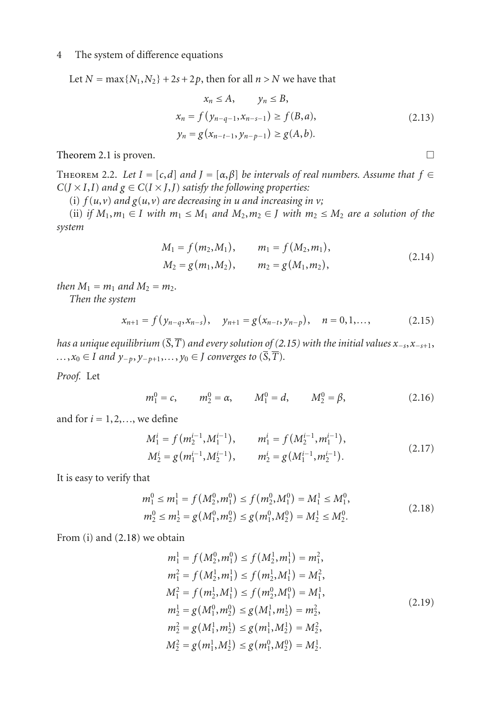## 4 The system of difference equations

Let  $N = \max\{N_1, N_2\} + 2s + 2p$ , then for all  $n > N$  we have that

$$
x_n \le A, \qquad y_n \le B,
$$
  
\n
$$
x_n = f(y_{n-q-1}, x_{n-s-1}) \ge f(B, a),
$$
  
\n
$$
y_n = g(x_{n-t-1}, y_{n-p-1}) \ge g(A, b).
$$
\n(2.13)

[Theorem 2.1](#page-1-3) is proven.  $\Box$ 

<span id="page-3-3"></span>THEOREM 2.2. Let  $I = [c,d]$  and  $J = [\alpha,\beta]$  be intervals of real numbers. Assume that  $f \in$  $C(J \times I, I)$  *and*  $g \in C(I \times J, J)$  *satisfy the following properties:* 

(i)  $f(u, v)$  *and*  $g(u, v)$  *are decreasing in u and increasing in v*;

(ii) *if*  $M_1, m_1 \in I$  *with*  $m_1 \leq M_1$  *and*  $M_2, m_2 \in J$  *with*  $m_2 \leq M_2$  *are a solution of the system*

$$
M_1 = f(m_2, M_1), \t m_1 = f(M_2, m_1),
$$
  
\n
$$
M_2 = g(m_1, M_2), \t m_2 = g(M_1, m_2),
$$
\n(2.14)

*then*  $M_1 = m_1$  *and*  $M_2 = m_2$ *.* 

*Then the system*

$$
x_{n+1} = f(y_{n-q}, x_{n-s}), \quad y_{n+1} = g(x_{n-t}, y_{n-p}), \quad n = 0, 1, \dots,
$$
 (2.15)

*has a unique equilibrium* ( $\overline{S}$ , $\overline{T}$ ) *and every solution of* [\(2.15\)](#page-3-0) *with the initial values*  $x_{-s}$ , $x_{-s+1}$ , *...*, $x_0$  ∈ *I and*  $y_{-p}$ ,  $y_{-p+1}$ ,...,  $y_0$  ∈ *J converges to* ( $\overline{S}$ ,  $\overline{T}$ ).

*Proof.* Let

<span id="page-3-2"></span>
$$
m_1^0 = c,
$$
  $m_2^0 = \alpha,$   $M_1^0 = d,$   $M_2^0 = \beta,$  (2.16)

and for  $i = 1, 2, \ldots$ , we define

$$
M_1^i = f(m_2^{i-1}, M_1^{i-1}), \t m_1^i = f(M_2^{i-1}, m_1^{i-1}),
$$
  
\n
$$
M_2^i = g(m_1^{i-1}, M_2^{i-1}), \t m_2^i = g(M_1^{i-1}, m_2^{i-1}).
$$
\n(2.17)

It is easy to verify that

$$
m_1^0 \le m_1^1 = f(M_2^0, m_1^0) \le f(m_2^0, M_1^0) = M_1^1 \le M_1^0,
$$
  
\n
$$
m_2^0 \le m_2^1 = g(M_1^0, m_2^0) \le g(m_1^0, M_2^0) = M_2^1 \le M_2^0.
$$
\n(2.18)

From (i) and [\(2.18\)](#page-3-1) we obtain

<span id="page-3-1"></span>
$$
m_1^1 = f(M_2^0, m_1^0) \le f(M_2^1, m_1^1) = m_1^2,
$$
  
\n
$$
m_1^2 = f(M_2^1, m_1^1) \le f(m_2^1, M_1^1) = M_1^2,
$$
  
\n
$$
M_1^2 = f(m_2^1, M_1^1) \le f(m_2^0, M_1^0) = M_1^1,
$$
  
\n
$$
m_2^1 = g(M_1^0, m_2^0) \le g(M_1^1, m_2^1) = m_2^2,
$$
  
\n
$$
m_2^2 = g(M_1^1, m_2^1) \le g(m_1^1, M_2^1) = M_2^2,
$$
  
\n
$$
M_2^2 = g(m_1^1, M_2^1) \le g(m_1^0, M_2^0) = M_2^1.
$$
  
\n(2.19)

<span id="page-3-0"></span>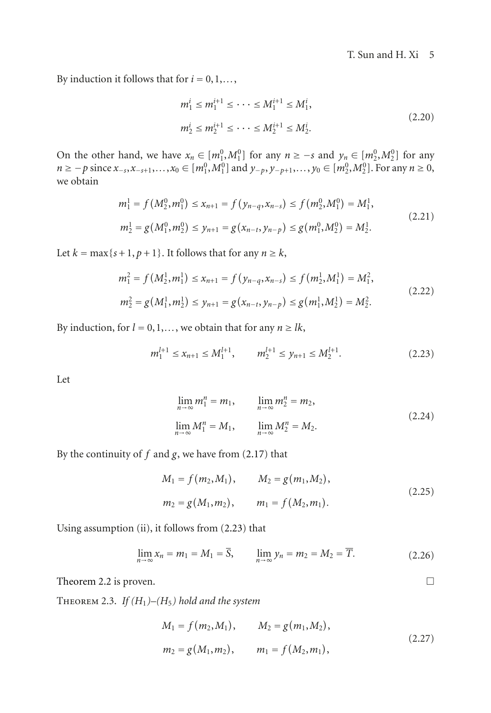By induction it follows that for  $i = 0, 1, \ldots$ ,

$$
m_1^i \le m_1^{i+1} \le \dots \le M_1^{i+1} \le M_1^i,
$$
  
\n
$$
m_2^i \le m_2^{i+1} \le \dots \le M_2^{i+1} \le M_2^i.
$$
\n(2.20)

On the other hand, we have  $x_n \in [m_1^0, M_1^0]$  for any  $n \ge -s$  and  $y_n \in [m_2^0, M_2^0]$  for any  $n \ge -p$  since  $x_{-s}, x_{-s+1}, \ldots, x_0 \in [m_1^0, M_1^0]$  and  $y_{-p}, y_{-p+1}, \ldots, y_0 \in [m_2^0, M_2^0]$ . For any  $n \ge 0$ , we obtain

$$
m_1^1 = f(M_2^0, m_1^0) \le x_{n+1} = f(y_{n-q}, x_{n-s}) \le f(m_2^0, M_1^0) = M_1^1,
$$
  
\n
$$
m_2^1 = g(M_1^0, m_2^0) \le y_{n+1} = g(x_{n-t}, y_{n-p}) \le g(m_1^0, M_2^0) = M_2^1.
$$
\n(2.21)

Let  $k = \max\{s+1, p+1\}$ . It follows that for any  $n \geq k$ ,

$$
m_1^2 = f(M_2^1, m_1^1) \le x_{n+1} = f(y_{n-q}, x_{n-s}) \le f(m_2^1, M_1^1) = M_1^2,
$$
  
\n
$$
m_2^2 = g(M_1^1, m_2^1) \le y_{n+1} = g(x_{n-t}, y_{n-p}) \le g(m_1^1, M_2^1) = M_2^2.
$$
\n(2.22)

By induction, for  $l = 0, 1, \ldots$ , we obtain that for any  $n \geq l$ *k*,

$$
m_1^{l+1} \le x_{n+1} \le M_1^{l+1}, \qquad m_2^{l+1} \le y_{n+1} \le M_2^{l+1}.
$$
 (2.23)

Let

<span id="page-4-0"></span>
$$
\lim_{n \to \infty} m_1^n = m_1, \qquad \lim_{n \to \infty} m_2^n = m_2, \n\lim_{n \to \infty} M_1^n = M_1, \qquad \lim_{n \to \infty} M_2^n = M_2.
$$
\n(2.24)

By the continuity of  $f$  and  $g$ , we have from [\(2.17\)](#page-3-2) that

$$
M_1 = f(m_2, M_1), \qquad M_2 = g(m_1, M_2),
$$
  
\n
$$
m_2 = g(M_1, m_2), \qquad m_1 = f(M_2, m_1).
$$
\n(2.25)

Using assumption (ii), it follows from [\(2.23\)](#page-4-0) that

$$
\lim_{n \to \infty} x_n = m_1 = M_1 = \overline{S}, \qquad \lim_{n \to \infty} y_n = m_2 = M_2 = \overline{T}.
$$
 (2.26)

<span id="page-4-1"></span>[Theorem 2.2](#page-3-3) is proven.

THEOREM 2.3. *If*  $(H_1)$ – $(H_5)$  hold and the system

$$
M_1 = f(m_2, M_1), \qquad M_2 = g(m_1, M_2),
$$
  
\n
$$
m_2 = g(M_1, m_2), \qquad m_1 = f(M_2, m_1),
$$
\n(2.27)

 $\Box$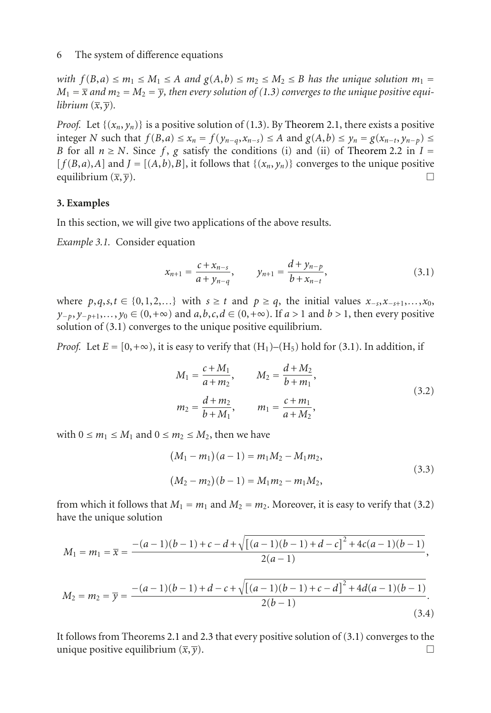#### 6 The system of difference equations

*with*  $f(B,a) \leq m_1 \leq M_1 \leq A$  *and*  $g(A,b) \leq m_2 \leq M_2 \leq B$  *has the unique solution*  $m_1 =$  $M_1 = \overline{x}$  *and*  $m_2 = M_2 = \overline{y}$ *, then every solution of [\(1.3\)](#page-1-0) converges to the unique positive equilibrium*  $(\overline{x}, \overline{y})$ .

*Proof.* Let  $\{(x_n, y_n)\}$  is a positive solution of [\(1.3\)](#page-1-0). By [Theorem 2.1,](#page-1-3) there exists a positive integer N such that  $f(B, a) \le x_n = f(y_{n-q}, x_{n-s}) \le A$  and  $g(A, b) \le y_n = g(x_{n-t}, y_{n-p}) \le$ *B* for all  $n \geq N$ . Since f, g satisfy the conditions (i) and (ii) of [Theorem 2.2](#page-3-3) in  $I =$  $[f(B,a),A]$  and  $J = [(A,b),B]$ , it follows that  $\{(x_n, y_n)\}$  converges to the unique positive equilibrium  $(\overline{x}, \overline{y})$ equilibrium  $(\overline{x}, \overline{y})$ .

### **3. Examples**

In this section, we will give two applications of the above results.

*Example 3.1.* Consider equation

<span id="page-5-0"></span>
$$
x_{n+1} = \frac{c + x_{n-s}}{a + y_{n-q}}, \qquad y_{n+1} = \frac{d + y_{n-p}}{b + x_{n-t}}, \tag{3.1}
$$

where *p*,*q*,*s*,*t* ∈ {0,1,2,...} with *s* ≥ *t* and *p* ≥ *q*, the initial values *x*<sub>−*s*</sub>,*x*<sub>−*s*+1</sub>,...,*x*<sub>0</sub>, *y*−*p*, *y*−*<sup>p</sup>*+1,*...*, *y*<sup>0</sup> ∈ (0,+∞) and *a*,*b*,*c*,*d* ∈ (0,+∞). If *a >* 1 and *b >* 1, then every positive solution of  $(3.1)$  converges to the unique positive equilibrium.

*Proof.* Let  $E = [0, +\infty)$ , it is easy to verify that  $(H_1)$ – $(H_5)$  hold for [\(3.1\)](#page-5-0). In addition, if

<span id="page-5-1"></span>
$$
M_1 = \frac{c + M_1}{a + m_2}, \qquad M_2 = \frac{d + M_2}{b + m_1},
$$
  

$$
m_2 = \frac{d + m_2}{b + M_1}, \qquad m_1 = \frac{c + m_1}{a + M_2},
$$
 (3.2)

with  $0 \le m_1 \le M_1$  and  $0 \le m_2 \le M_2$ , then we have

$$
(M_1 - m_1)(a - 1) = m_1 M_2 - M_1 m_2,
$$
  

$$
(M_2 - m_2)(b - 1) = M_1 m_2 - m_1 M_2,
$$
 (3.3)

(3.4)

from which it follows that  $M_1 = m_1$  and  $M_2 = m_2$ . Moreover, it is easy to verify that [\(3.2\)](#page-5-1) have the unique solution

$$
M_1 = m_1 = \overline{x} = \frac{-(a-1)(b-1) + c - d + \sqrt{[(a-1)(b-1) + d - c]^2 + 4c(a-1)(b-1)}}{2(a-1)},
$$
  

$$
M_2 = m_2 = \overline{y} = \frac{-(a-1)(b-1) + d - c + \sqrt{[(a-1)(b-1) + c - d]^2 + 4d(a-1)(b-1)}}{2(b-1)}.
$$

It follows from Theorems [2.1](#page-1-3) and [2.3](#page-4-1) that every positive solution of [\(3.1\)](#page-5-0) converges to the unique positive equilibrium  $(\overline{x}, \overline{y})$ .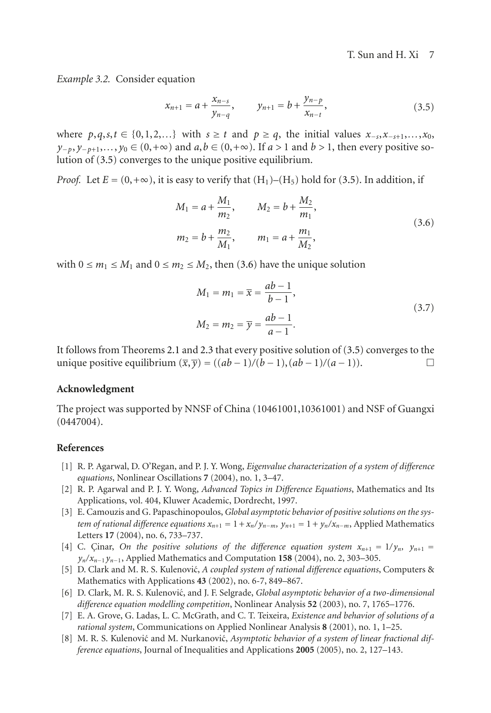*Example 3.2.* Consider equation

<span id="page-6-4"></span>
$$
x_{n+1} = a + \frac{x_{n-s}}{y_{n-q}}, \qquad y_{n+1} = b + \frac{y_{n-p}}{x_{n-t}}, \tag{3.5}
$$

where  $p, q, s, t \in \{0, 1, 2, \ldots\}$  with  $s \geq t$  and  $p \geq q$ , the initial values  $x_{-s}, x_{-s+1}, \ldots, x_0$ , *y*−*p*, *y*−*p*+1,..., *y*<sub>0</sub> ∈ (0, +∞) and *a*,*b* ∈ (0, +∞). If *a* > 1 and *b* > 1, then every positive solution of [\(3.5\)](#page-6-4) converges to the unique positive equilibrium.

*Proof.* Let  $E = (0, +\infty)$ , it is easy to verify that  $(H_1)$ – $(H_5)$  hold for [\(3.5\)](#page-6-4). In addition, if

<span id="page-6-5"></span>
$$
M_1 = a + \frac{M_1}{m_2}, \qquad M_2 = b + \frac{M_2}{m_1},
$$
  
\n
$$
m_2 = b + \frac{m_2}{M_1}, \qquad m_1 = a + \frac{m_1}{M_2},
$$
\n(3.6)

with  $0 \le m_1 \le M_1$  and  $0 \le m_2 \le M_2$ , then [\(3.6\)](#page-6-5) have the unique solution

$$
M_1 = m_1 = \overline{x} = \frac{ab - 1}{b - 1},
$$
  
\n
$$
M_2 = m_2 = \overline{y} = \frac{ab - 1}{a - 1}.
$$
\n(3.7)

It follows from Theorems [2.1](#page-1-3) and [2.3](#page-4-1) that every positive solution of [\(3.5\)](#page-6-4) converges to the unique positive equilibrium  $(\overline{x}, \overline{y}) = ((ab-1)/(b-1), (ab-1)/(a-1))$ .  $□$ 

## **Acknowledgment**

The project was supported by NNSF of China (10461001,10361001) and NSF of Guangxi (0447004).

#### <span id="page-6-3"></span><span id="page-6-0"></span>**References**

- [1] R. P. Agarwal, D. O'Regan, and P. J. Y. Wong, *Eigenvalue characterization of a system of difference equations*, Nonlinear Oscillations **7** (2004), no. 1, 3–47.
- [2] R. P. Agarwal and P. J. Y. Wong, *Advanced Topics in Difference Equations*, Mathematics and Its Applications, vol. 404, Kluwer Academic, Dordrecht, 1997.
- [3] E. Camouzis and G. Papaschinopoulos, *Global asymptotic behavior of positive solutions on the system of rational difference equations*  $x_{n+1} = 1 + x_n/y_{n-m}$ ,  $y_{n+1} = 1 + y_n/x_{n-m}$ , Applied Mathematics Letters **17** (2004), no. 6, 733–737.
- [4] C. Cinar, *On the positive solutions of the difference equation system*  $x_{n+1} = 1/y_n$ ,  $y_{n+1} = 1/y_n$ *yn/xn*−<sup>1</sup> *yn*−1, Applied Mathematics and Computation **158** (2004), no. 2, 303–305.
- [5] D. Clark and M. R. S. Kulenovic,´ *A coupled system of rational difference equations*, Computers & Mathematics with Applications **43** (2002), no. 6-7, 849–867.
- [6] D. Clark, M. R. S. Kulenović, and J. F. Selgrade, *Global asymptotic behavior of a two-dimensional difference equation modelling competition*, Nonlinear Analysis **52** (2003), no. 7, 1765–1776.
- <span id="page-6-1"></span>[7] E. A. Grove, G. Ladas, L. C. McGrath, and C. T. Teixeira, *Existence and behavior of solutions of a rational system*, Communications on Applied Nonlinear Analysis **8** (2001), no. 1, 1–25.
- <span id="page-6-2"></span>[8] M. R. S. Kulenović and M. Nurkanović, *Asymptotic behavior of a system of linear fractional difference equations*, Journal of Inequalities and Applications **2005** (2005), no. 2, 127–143.